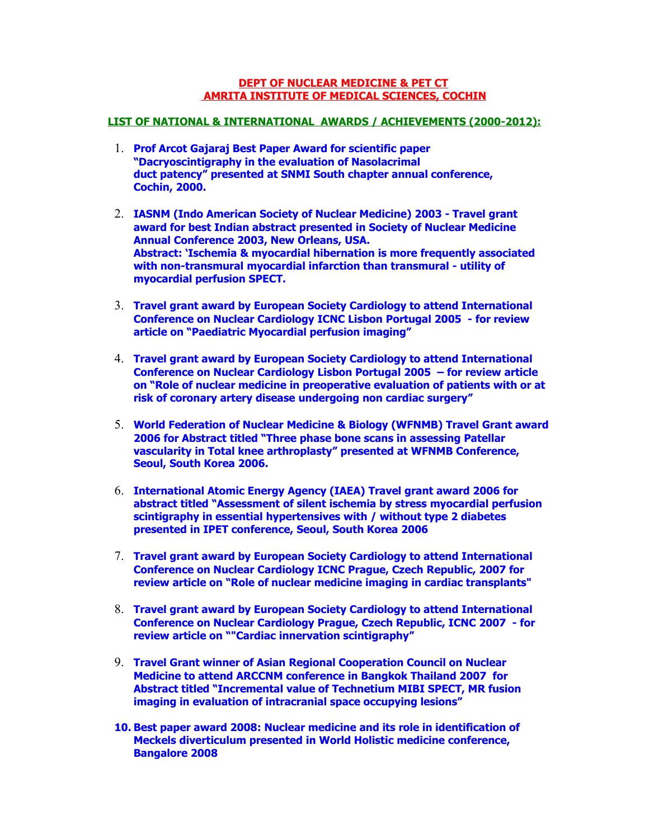#### **DEPT OF NUCLEAR MEDICINE & PET CT AMRITA INSTITUTE OF MEDICAL SCIENCES, COCHIN**

### **LIST OF NATIONAL & INTERNATIONAL AWARDS / ACHIEVEMENTS (2000-2012):**

- 1. **Prof Arcot Gajaraj Best Paper Award for scientific paper "Dacryoscintigraphy in the evaluation of Nasolacrimal duct patency" presented at SNMI South chapter annual conference, Cochin, 2000.**
- 2. **IASNM (Indo American Society of Nuclear Medicine) 2003 Travel grant award for best Indian abstract presented in Society of Nuclear Medicine Annual Conference 2003, New Orleans, USA. Abstract: 'Ischemia & myocardial hibernation is more frequently associated with non-transmural myocardial infarction than transmural - utility of myocardial perfusion SPECT.**
- 3. **Travel grant award by European Society Cardiology to attend International Conference on Nuclear Cardiology ICNC Lisbon Portugal 2005 - for review article on "Paediatric Myocardial perfusion imaging"**
- 4. **Travel grant award by European Society Cardiology to attend International Conference on Nuclear Cardiology Lisbon Portugal 2005 – for review article on "Role of nuclear medicine in preoperative evaluation of patients with or at risk of coronary artery disease undergoing non cardiac surgery"**
- 5. **World Federation of Nuclear Medicine & Biology (WFNMB) Travel Grant award 2006 for Abstract titled "Three phase bone scans in assessing Patellar vascularity in Total knee arthroplasty" presented at WFNMB Conference, Seoul, South Korea 2006.**
- 6. **International Atomic Energy Agency (IAEA) Travel grant award 2006 for abstract titled "Assessment of silent ischemia by stress myocardial perfusion scintigraphy in essential hypertensives with / without type 2 diabetes presented in IPET conference, Seoul, South Korea 2006**
- 7. **Travel grant award by European Society Cardiology to attend International Conference on Nuclear Cardiology ICNC Prague, Czech Republic, 2007 for review article on "Role of nuclear medicine imaging in cardiac transplants"**
- 8. **Travel grant award by European Society Cardiology to attend International Conference on Nuclear Cardiology Prague, Czech Republic, ICNC 2007 - for review article on ""Cardiac innervation scintigraphy"**
- 9. **Travel Grant winner of Asian Regional Cooperation Council on Nuclear Medicine to attend ARCCNM conference in Bangkok Thailand 2007 for Abstract titled "Incremental value of Technetium MIBI SPECT, MR fusion imaging in evaluation of intracranial space occupying lesions"**
- **10. Best paper award 2008: Nuclear medicine and its role in identification of Meckels diverticulum presented in World Holistic medicine conference, Bangalore 2008**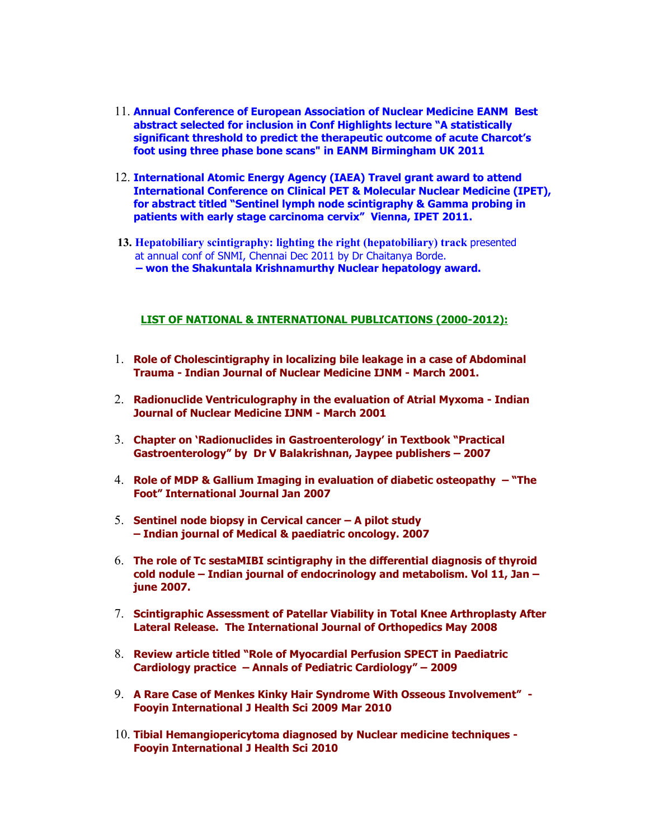- 11. **Annual Conference of European Association of Nuclear Medicine EANM Best abstract selected for inclusion in Conf Highlights lecture "A statistically significant threshold to predict the therapeutic outcome of acute Charcot's foot using three phase bone scans" in EANM Birmingham UK 2011**
- 12. **International Atomic Energy Agency (IAEA) Travel grant award to attend International Conference on Clinical PET & Molecular Nuclear Medicine (IPET), for abstract titled "Sentinel lymph node scintigraphy & Gamma probing in patients with early stage carcinoma cervix" Vienna, IPET 2011.**
- **13. Hepatobiliary scintigraphy: lighting the right (hepatobiliary) track** presented at annual conf of SNMI, Chennai Dec 2011 by Dr Chaitanya Borde.  **– won the Shakuntala Krishnamurthy Nuclear hepatology award.**

#### **LIST OF NATIONAL & INTERNATIONAL PUBLICATIONS (2000-2012):**

- 1. **Role of Cholescintigraphy in localizing bile leakage in a case of Abdominal Trauma - Indian Journal of Nuclear Medicine IJNM - March 2001.**
- 2. **Radionuclide Ventriculography in the evaluation of Atrial Myxoma Indian Journal of Nuclear Medicine IJNM - March 2001**
- 3. **Chapter on 'Radionuclides in Gastroenterology' in Textbook "Practical Gastroenterology" by Dr V Balakrishnan, Jaypee publishers – 2007**
- 4. **Role of MDP & Gallium Imaging in evaluation of diabetic osteopathy "The Foot" International Journal Jan 2007**
- 5. **Sentinel node biopsy in Cervical cancer A pilot study – Indian journal of Medical & paediatric oncology. 2007**
- 6. **The role of Tc sestaMIBI scintigraphy in the differential diagnosis of thyroid cold nodule – Indian journal of endocrinology and metabolism. Vol 11, Jan – june 2007.**
- 7. **Scintigraphic Assessment of Patellar Viability in Total Knee Arthroplasty After Lateral Release. The International Journal of Orthopedics May 2008**
- 8. **Review article titled "Role of Myocardial Perfusion SPECT in Paediatric Cardiology practice – Annals of Pediatric Cardiology" – 2009**
- 9. **A Rare Case of Menkes Kinky Hair Syndrome With Osseous Involvement" - Fooyin International J Health Sci 2009 Mar 2010**
- 10. **Tibial Hemangiopericytoma diagnosed by Nuclear medicine techniques - Fooyin International J Health Sci 2010**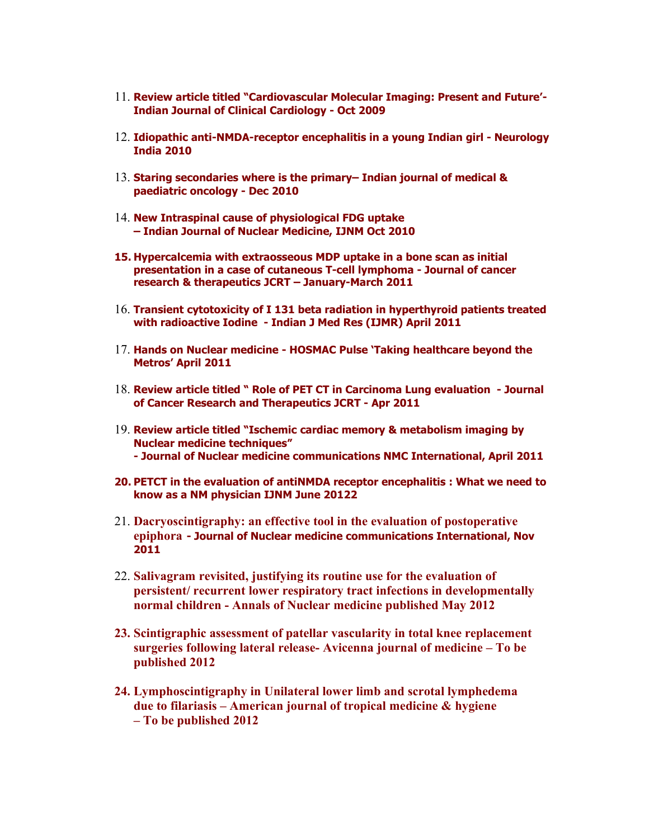- 11. **Review article titled "Cardiovascular Molecular Imaging: Present and Future'- Indian Journal of Clinical Cardiology - Oct 2009**
- 12. **Idiopathic anti-NMDA-receptor encephalitis in a young Indian girl Neurology India 2010**
- 13. **Staring secondaries where is the primary– Indian journal of medical & paediatric oncology - Dec 2010**
- 14. **New Intraspinal cause of physiological FDG uptake – Indian Journal of Nuclear Medicine, IJNM Oct 2010**
- **15. Hypercalcemia with extraosseous MDP uptake in a bone scan as initial presentation in a case of cutaneous T-cell lymphoma - Journal of cancer research & therapeutics JCRT – January-March 2011**
- 16. **Transient cytotoxicity of I 131 beta radiation in hyperthyroid patients treated with radioactive Iodine - Indian J Med Res (IJMR) April 2011**
- 17. **Hands on Nuclear medicine HOSMAC Pulse 'Taking healthcare beyond the Metros' April 2011**
- 18. **Review article titled " Role of PET CT in Carcinoma Lung evaluation Journal of Cancer Research and Therapeutics JCRT - Apr 2011**
- 19. **Review article titled "Ischemic cardiac memory & metabolism imaging by Nuclear medicine techniques" - Journal of Nuclear medicine communications NMC International, April 2011**
- **20. PETCT in the evaluation of antiNMDA receptor encephalitis : What we need to know as a NM physician IJNM June 20122**
- 21. **Dacryoscintigraphy: an effective tool in the evaluation of postoperative epiphora - Journal of Nuclear medicine communications International, Nov 2011**
- 22. **Salivagram revisited, justifying its routine use for the evaluation of persistent/ recurrent lower respiratory tract infections in developmentally normal children - Annals of Nuclear medicine published May 2012**
- **23. Scintigraphic assessment of patellar vascularity in total knee replacement surgeries following lateral release- Avicenna journal of medicine – To be published 2012**
- **24. Lymphoscintigraphy in Unilateral lower limb and scrotal lymphedema due to filariasis – American journal of tropical medicine & hygiene – To be published 2012**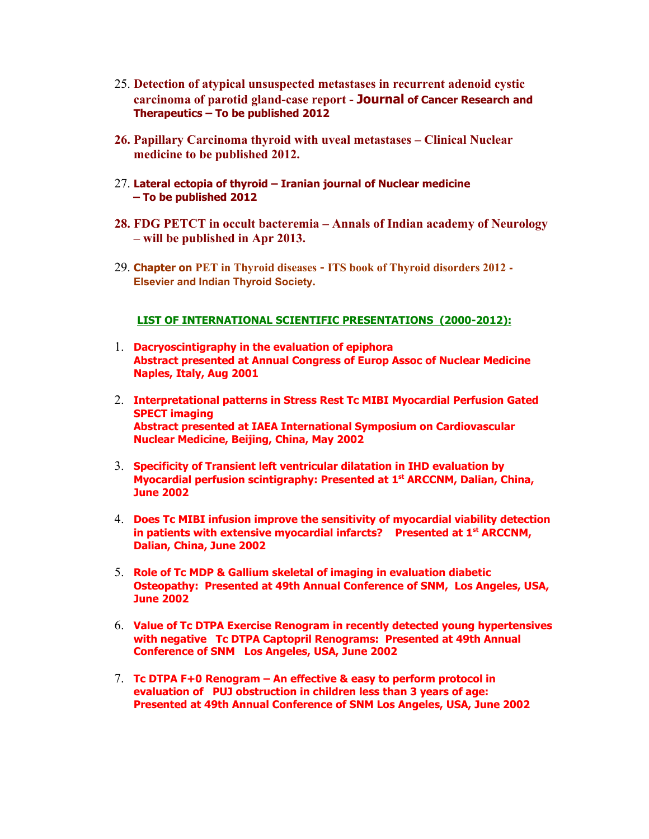- 25. **Detection of atypical unsuspected metastases in recurrent adenoid cystic carcinoma of parotid gland-case report - Journal of Cancer Research and Therapeutics – To be published 2012**
- **26. Papillary Carcinoma thyroid with uveal metastases Clinical Nuclear medicine to be published 2012.**
- 27. **Lateral ectopia of thyroid Iranian journal of Nuclear medicine – To be published 2012**
- **28. FDG PETCT in occult bacteremia Annals of Indian academy of Neurology – will be published in Apr 2013.**
- 29. **Chapter on PET in Thyroid diseases ITS book of Thyroid disorders 2012 - Elsevier and Indian Thyroid Society.**

### **LIST OF INTERNATIONAL SCIENTIFIC PRESENTATIONS (2000-2012):**

- 1. **Dacryoscintigraphy in the evaluation of epiphora Abstract presented at Annual Congress of Europ Assoc of Nuclear Medicine Naples, Italy, Aug 2001**
- 2. **Interpretational patterns in Stress Rest Tc MIBI Myocardial Perfusion Gated SPECT imaging Abstract presented at IAEA International Symposium on Cardiovascular Nuclear Medicine, Beijing, China, May 2002**
- 3. **Specificity of Transient left ventricular dilatation in IHD evaluation by Myocardial perfusion scintigraphy: Presented at 1st ARCCNM, Dalian, China, June 2002**
- 4. **Does Tc MIBI infusion improve the sensitivity of myocardial viability detection in patients with extensive myocardial infarcts? Presented at 1st ARCCNM, Dalian, China, June 2002**
- 5. **Role of Tc MDP & Gallium skeletal of imaging in evaluation diabetic Osteopathy: Presented at 49th Annual Conference of SNM, Los Angeles, USA, June 2002**
- 6. **Value of Tc DTPA Exercise Renogram in recently detected young hypertensives with negative Tc DTPA Captopril Renograms: Presented at 49th Annual Conference of SNM Los Angeles, USA, June 2002**
- 7. **Tc DTPA F+0 Renogram An effective & easy to perform protocol in evaluation of PUJ obstruction in children less than 3 years of age: Presented at 49th Annual Conference of SNM Los Angeles, USA, June 2002**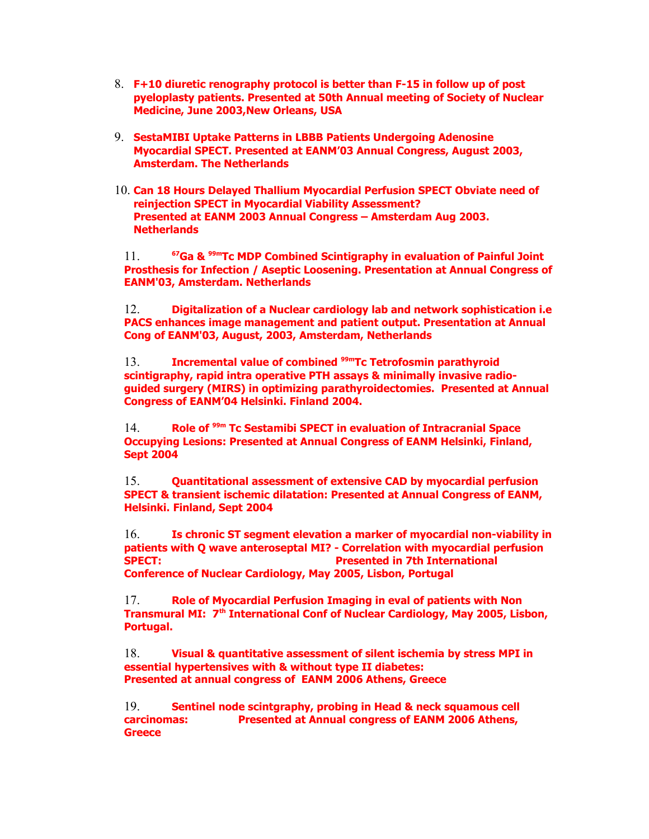- 8. **F+10 diuretic renography protocol is better than F-15 in follow up of post pyeloplasty patients. Presented at 50th Annual meeting of Society of Nuclear Medicine, June 2003,New Orleans, USA**
- 9. **SestaMIBI Uptake Patterns in LBBB Patients Undergoing Adenosine Myocardial SPECT. Presented at EANM'03 Annual Congress, August 2003, Amsterdam. The Netherlands**
- 10. **Can 18 Hours Delayed Thallium Myocardial Perfusion SPECT Obviate need of reinjection SPECT in Myocardial Viability Assessment? Presented at EANM 2003 Annual Congress – Amsterdam Aug 2003. Netherlands**

11. **<sup>67</sup>Ga & 99mTc MDP Combined Scintigraphy in evaluation of Painful Joint Prosthesis for Infection / Aseptic Loosening. Presentation at Annual Congress of EANM'03, Amsterdam. Netherlands**

12. **Digitalization of a Nuclear cardiology lab and network sophistication i.e PACS enhances image management and patient output. Presentation at Annual Cong of EANM'03, August, 2003, Amsterdam, Netherlands**

13. **Incremental value of combined 99mTc Tetrofosmin parathyroid scintigraphy, rapid intra operative PTH assays & minimally invasive radioguided surgery (MIRS) in optimizing parathyroidectomies. Presented at Annual Congress of EANM'04 Helsinki. Finland 2004.** 

14. **Role of 99m Tc Sestamibi SPECT in evaluation of Intracranial Space Occupying Lesions: Presented at Annual Congress of EANM Helsinki, Finland, Sept 2004** 

15. **Quantitational assessment of extensive CAD by myocardial perfusion SPECT & transient ischemic dilatation: Presented at Annual Congress of EANM, Helsinki. Finland, Sept 2004** 

16. **Is chronic ST segment elevation a marker of myocardial non-viability in patients with Q wave anteroseptal MI? - Correlation with myocardial perfusion SPECT:** Presented in 7th International **Conference of Nuclear Cardiology, May 2005, Lisbon, Portugal**

17. **Role of Myocardial Perfusion Imaging in eval of patients with Non Transmural MI: 7th International Conf of Nuclear Cardiology, May 2005, Lisbon, Portugal.** 

18. **Visual & quantitative assessment of silent ischemia by stress MPI in essential hypertensives with & without type II diabetes: Presented at annual congress of EANM 2006 Athens, Greece** 

19. **Sentinel node scintgraphy, probing in Head & neck squamous cell carcinomas: Presented at Annual congress of EANM 2006 Athens, Greece**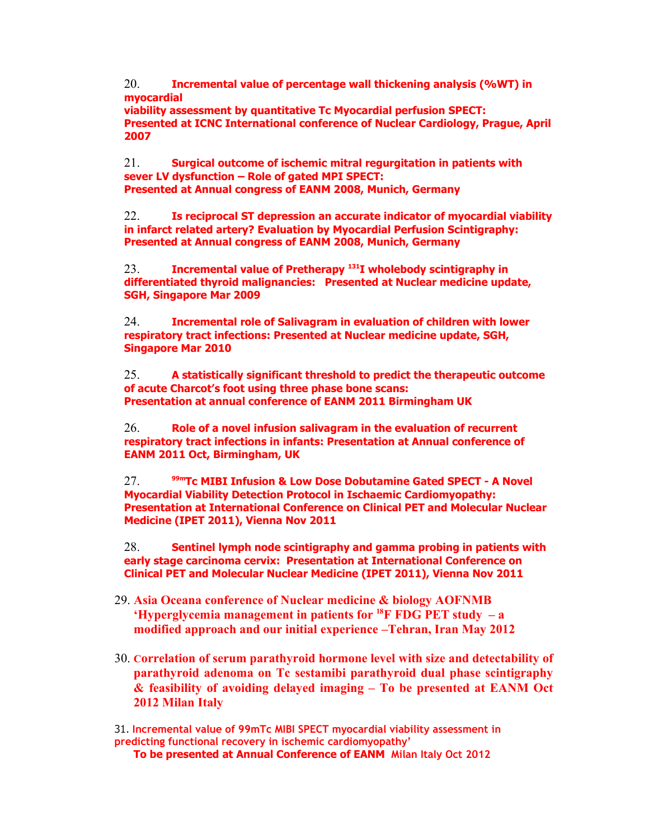20. **Incremental value of percentage wall thickening analysis (%WT) in myocardial**

**viability assessment by quantitative Tc Myocardial perfusion SPECT: Presented at ICNC International conference of Nuclear Cardiology, Prague, April 2007** 

21. **Surgical outcome of ischemic mitral regurgitation in patients with sever LV dysfunction – Role of gated MPI SPECT: Presented at Annual congress of EANM 2008, Munich, Germany**

22. **Is reciprocal ST depression an accurate indicator of myocardial viability in infarct related artery? Evaluation by Myocardial Perfusion Scintigraphy: Presented at Annual congress of EANM 2008, Munich, Germany** 

23. **Incremental value of Pretherapy <sup>131</sup>I wholebody scintigraphy in differentiated thyroid malignancies: Presented at Nuclear medicine update, SGH, Singapore Mar 2009**

24. **Incremental role of Salivagram in evaluation of children with lower respiratory tract infections: Presented at Nuclear medicine update, SGH, Singapore Mar 2010**

25. **A statistically significant threshold to predict the therapeutic outcome of acute Charcot's foot using three phase bone scans: Presentation at annual conference of EANM 2011 Birmingham UK**

26. **Role of a novel infusion salivagram in the evaluation of recurrent respiratory tract infections in infants: Presentation at Annual conference of EANM 2011 Oct, Birmingham, UK**

27. **99mTc MIBI Infusion & Low Dose Dobutamine Gated SPECT - A Novel Myocardial Viability Detection Protocol in Ischaemic Cardiomyopathy: Presentation at International Conference on Clinical PET and Molecular Nuclear Medicine (IPET 2011), Vienna Nov 2011**

28. **Sentinel lymph node scintigraphy and gamma probing in patients with early stage carcinoma cervix: Presentation at International Conference on Clinical PET and Molecular Nuclear Medicine (IPET 2011), Vienna Nov 2011**

- 29. **Asia Oceana conference of Nuclear medicine & biology AOFNMB 'Hyperglycemia management in patients for <sup>18</sup>F FDG PET study – a modified approach and our initial experience –Tehran, Iran May 2012**
- 30. **Correlation of serum parathyroid hormone level with size and detectability of parathyroid adenoma on Tc sestamibi parathyroid dual phase scintigraphy & feasibility of avoiding delayed imaging – To be presented at EANM Oct 2012 Milan Italy**

31. **Incremental value of 99mTc MIBI SPECT myocardial viability assessment in predicting functional recovery in ischemic cardiomyopathy'** 

**To be presented at Annual Conference of EANM Milan Italy Oct 2012**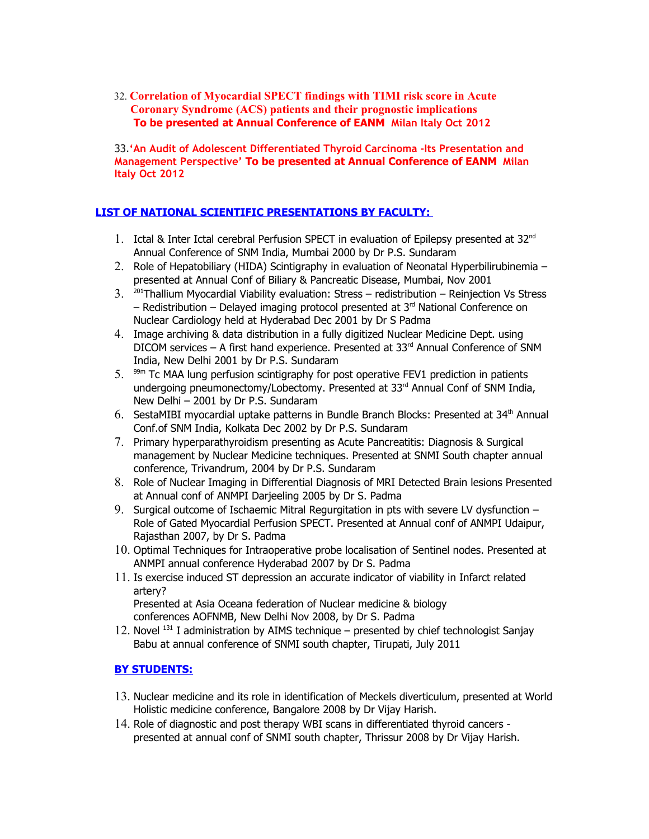32. **Correlation of Myocardial SPECT findings with TIMI risk score in Acute Coronary Syndrome (ACS) patients and their prognostic implications To be presented at Annual Conference of EANM Milan Italy Oct 2012**

33.**'An Audit of Adolescent Differentiated Thyroid Carcinoma -Its Presentation and Management Perspective' To be presented at Annual Conference of EANM Milan Italy Oct 2012**

# **LIST OF NATIONAL SCIENTIFIC PRESENTATIONS BY FACULTY:**

- 1. Ictal & Inter Ictal cerebral Perfusion SPECT in evaluation of Epilepsy presented at 32<sup>nd</sup> Annual Conference of SNM India, Mumbai 2000 by Dr P.S. Sundaram
- 2. Role of Hepatobiliary (HIDA) Scintigraphy in evaluation of Neonatal Hyperbilirubinemia presented at Annual Conf of Biliary & Pancreatic Disease, Mumbai, Nov 2001
- $3.$  <sup>201</sup>Thallium Myocardial Viability evaluation: Stress redistribution Reinjection Vs Stress – Redistribution – Delayed imaging protocol presented at  $3<sup>rd</sup>$  National Conference on Nuclear Cardiology held at Hyderabad Dec 2001 by Dr S Padma
- 4. Image archiving & data distribution in a fully digitized Nuclear Medicine Dept. using DICOM services  $-$  A first hand experience. Presented at 33 $^{rd}$  Annual Conference of SNM India, New Delhi 2001 by Dr P.S. Sundaram
- 5.  $99m$  Tc MAA lung perfusion scintigraphy for post operative FEV1 prediction in patients undergoing pneumonectomy/Lobectomy. Presented at 33<sup>rd</sup> Annual Conf of SNM India, New Delhi – 2001 by Dr P.S. Sundaram
- 6. SestaMIBI myocardial uptake patterns in Bundle Branch Blocks: Presented at  $34<sup>th</sup>$  Annual Conf.of SNM India, Kolkata Dec 2002 by Dr P.S. Sundaram
- 7. Primary hyperparathyroidism presenting as Acute Pancreatitis: Diagnosis & Surgical management by Nuclear Medicine techniques. Presented at SNMI South chapter annual conference, Trivandrum, 2004 by Dr P.S. Sundaram
- 8. Role of Nuclear Imaging in Differential Diagnosis of MRI Detected Brain lesions Presented at Annual conf of ANMPI Darjeeling 2005 by Dr S. Padma
- 9. Surgical outcome of Ischaemic Mitral Regurgitation in pts with severe LV dysfunction Role of Gated Myocardial Perfusion SPECT. Presented at Annual conf of ANMPI Udaipur, Rajasthan 2007, by Dr S. Padma
- 10. Optimal Techniques for Intraoperative probe localisation of Sentinel nodes. Presented at ANMPI annual conference Hyderabad 2007 by Dr S. Padma
- 11. Is exercise induced ST depression an accurate indicator of viability in Infarct related artery? Presented at Asia Oceana federation of Nuclear medicine & biology

conferences AOFNMB, New Delhi Nov 2008, by Dr S. Padma

12. Novel  $^{131}$  I administration by AIMS technique – presented by chief technologist Sanjay Babu at annual conference of SNMI south chapter, Tirupati, July 2011

## **BY STUDENTS:**

- 13. Nuclear medicine and its role in identification of Meckels diverticulum, presented at World Holistic medicine conference, Bangalore 2008 by Dr Vijay Harish.
- 14. Role of diagnostic and post therapy WBI scans in differentiated thyroid cancers presented at annual conf of SNMI south chapter, Thrissur 2008 by Dr Vijay Harish.